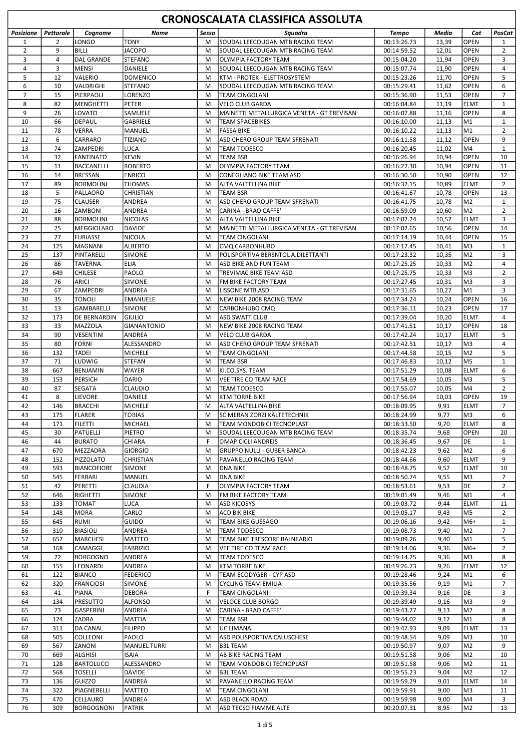|                     | <b>CRONOSCALATA CLASSIFICA ASSOLUTA</b> |                                  |                           |        |                                                  |                            |                |                            |                      |  |
|---------------------|-----------------------------------------|----------------------------------|---------------------------|--------|--------------------------------------------------|----------------------------|----------------|----------------------------|----------------------|--|
| <b>Posizione</b>    | <b>Pettorale</b>                        | Cognome                          | Nome                      | Sesso  | Squadra                                          | <b>Tempo</b>               | Media          | Cat                        | PosCat               |  |
| 1                   | 2                                       | LONGO                            | <b>TONY</b>               | M      | SOUDAL LEECOUGAN MTB RACING TEAM                 | 00:13:26.73                | 13,39          | <b>OPEN</b>                | $\mathbf{1}$         |  |
| $\overline{2}$      | 9                                       | <b>BILLI</b>                     | <b>JACOPO</b>             | M      | SOUDAL LEECOUGAN MTB RACING TEAM                 | 00:14:59.52                | 12,01          | <b>OPEN</b>                | $\overline{2}$       |  |
| 3                   | 4                                       | DAL GRANDE                       | <b>STEFANO</b>            | M      | <b>OLYMPIA FACTORY TEAM</b>                      | 00:15:04.20                | 11,94          | <b>OPEN</b>                | 3                    |  |
| 4                   | 3                                       | <b>MENSI</b>                     | DANIELE                   | M      | SOUDAL LEECOUGAN MTB RACING TEAM                 | 00:15:07.74                | 11,90          | <b>OPEN</b>                | 4                    |  |
| 5                   | 12                                      | <b>VALERIO</b>                   | <b>DOMENICO</b>           | M      | KTM - PROTEK - ELETTROSYSTEM                     | 00:15:23.26                | 11,70          | OPEN                       | 5                    |  |
| 6<br>$\overline{7}$ | 10<br>15                                | VALDRIGHI<br>PIERPAOLI           | <b>STEFANO</b>            | M      | SOUDAL LEECOUGAN MTB RACING TEAM                 | 00:15:29.41                | 11,62          | <b>OPEN</b>                | 6<br>$\overline{7}$  |  |
| 8                   | 82                                      | MENGHETTI                        | LORENZO<br>PETER          | M<br>м | TEAM CINGOLANI<br><b>VELO CLUB GARDA</b>         | 00:15:36.90<br>00:16:04.84 | 11,53<br>11,19 | <b>OPEN</b><br><b>ELMT</b> | $\mathbf{1}$         |  |
| 9                   | 26                                      | <b>LOVATO</b>                    | <b>SAMUELE</b>            | M      | MAINETTI METALLURGICA VENETA - GT TREVISAN       | 00:16:07.88                | 11,16          | <b>OPEN</b>                | 8                    |  |
| 10                  | 66                                      | DEPAUL                           | GABRIELE                  | M      | TEAM SPACEBIKES                                  | 00:16:10.00                | 11,13          | M1                         | $\mathbf{1}$         |  |
| 11                  | 78                                      | <b>VERRA</b>                     | <b>MANUEL</b>             | м      | <b>FASSA BIKE</b>                                | 00:16:10.22                | 11,13          | M1                         | 2                    |  |
| 12                  | 6                                       | <b>CARRARO</b>                   | <b>TIZIANO</b>            | M      | ASD CHERO GROUP TEAM SFRENATI                    | 00:16:11.58                | 11,12          | <b>OPEN</b>                | 9                    |  |
| 13                  | 74                                      | ZAMPEDRI                         | <b>LUCA</b>               | M      | TEAM TODESCO                                     | 00:16:20.45                | 11,02          | M4                         | $\mathbf{1}$         |  |
| 14                  | 32                                      | <b>FANTINATO</b>                 | <b>KEVIN</b>              | M      | TEAM BSR                                         | 00:16:26.94                | 10,94          | <b>OPEN</b>                | 10                   |  |
| 15                  | 11                                      | BACCANELLI                       | <b>ROBERTO</b>            | M      | OLYMPIA FACTORY TEAM                             | 00:16:27.30                | 10,94          | <b>OPEN</b>                | 11                   |  |
| 16                  | 14                                      | BRESSAN                          | <b>ENRICO</b>             | M      | <b>CONEGLIANO BIKE TEAM ASD</b>                  | 00:16:30.50                | 10,90          | OPEN                       | 12                   |  |
| 17                  | 89                                      | BORMOLINI                        | <b>THOMAS</b>             | М      | ALTA VALTELLINA BIKE                             | 00:16:32.15                | 10,89          | <b>ELMT</b>                | 2                    |  |
| 18<br>19            | 5<br>75                                 | PALLAORO<br><b>CLAUSER</b>       | CHRISTIAN<br>ANDREA       | M<br>M | TEAM BSR<br>ASD CHERO GROUP TEAM SFRENATI        | 00:16:41.67<br>00:16:41.75 | 10,78<br>10,78 | <b>OPEN</b><br>M2          | 13<br>$\mathbf{1}$   |  |
| 20                  | 16                                      | <b>ZAMBONI</b>                   | <b>ANDREA</b>             | M      | CARINA - BRAO CAFFE'                             | 00:16:59.09                | 10,60          | M2                         | $\overline{2}$       |  |
| 21                  | 88                                      | BORMOLINI                        | <b>NICOLAS</b>            | M      | ALTA VALTELLINA BIKE                             | 00:17:02.24                | 10,57          | <b>ELMT</b>                | 3                    |  |
| 22                  | 25                                      | MEGGIOLARO                       | <b>DAVIDE</b>             | M      | MAINETTI METALLURGICA VENETA - GT TREVISAN       | 00:17:02.65                | 10,56          | <b>OPEN</b>                | 14                   |  |
| 23                  | 27                                      | FURIASSE                         | <b>NICOLA</b>             | M      | TEAM CINGOLANI                                   | 00:17:14.19                | 10,44          | <b>OPEN</b>                | 15                   |  |
| 24                  | 125                                     | İMAGNANI                         | <b>ALBERTO</b>            | M      | CMQ CARBONHUBO                                   | 00:17:17.45                | 10,41          | lM3                        | $\mathbf{1}$         |  |
| 25                  | 137                                     | PINTARELLI                       | SIMONE                    | M      | POLISPORTIVA BERSNTOL A.DILETTANTI               | 00:17:23.32                | 10,35          | M <sub>2</sub>             | 3                    |  |
| 26                  | 86                                      | <b>TAVERNA</b>                   | ELIA                      | M      | ASD BIKE AND FUN TEAM                            | 00:17:25.25                | 10,33          | M <sub>2</sub>             | 4                    |  |
| 27                  | 649                                     | <b>CHILESE</b>                   | PAOLO                     | M      | TREVIMAC BIKE TEAM ASD                           | 00:17:25.75                | 10,33          | lM3                        | $\overline{2}$       |  |
| 28                  | 76                                      | ARICI                            | SIMONE                    | M      | FM BIKE FACTORY TEAM                             | 00:17:27.45                | 10,31          | lM3                        | 3                    |  |
| 29<br>30            | 67<br>35                                | <b>ZAMPEDRI</b>                  | <b>ANDREA</b>             | M      | <b>LISSONE MTB ASD</b>                           | 00:17:31.65                | 10,27          | M1<br>OPEN                 | 3<br>16              |  |
| 31                  | 13                                      | <b>TONOLI</b><br>GAMBARELLI      | <b>EMANUELE</b><br>SIMONE | M<br>M | NEW BIKE 2008 RACING TEAM<br>CARBONHUBO CMQ      | 00:17:34.24<br>00:17:36.11 | 10,24<br>10,23 | OPEN                       | 17                   |  |
| 32                  | 173                                     | DE BERNARDIN                     | <b>GIULIO</b>             | M      | <b>ASD SWATT CLUB</b>                            | 00:17:39.04                | 10,20          | <b>ELMT</b>                | 4                    |  |
| 33                  | 33                                      | MAZZOLA                          | <b>GIANANTONIO</b>        | M      | NEW BIKE 2008 RACING TEAM                        | 00:17:41.51                | 10,17          | <b>OPEN</b>                | 18                   |  |
| 34                  | 90                                      | <b>VESENTINI</b>                 | ANDREA                    | M      | <b>VELO CLUB GARDA</b>                           | 00:17:42.24                | 10,17          | <b>ELMT</b>                | 5                    |  |
| 35                  | 80                                      | <b>FORNI</b>                     | ALESSANDRO                | M      | ASD CHERO GROUP TEAM SFRENATI                    | 00:17:42.51                | 10,17          | lM3                        | $\overline{4}$       |  |
| 36                  | 132                                     | <b>TADEI</b>                     | <b>MICHELE</b>            | M      | TEAM CINGOLANI                                   | 00:17:44.58                | 10,15          | M2                         | 5                    |  |
| 37                  | 71                                      | lludwig                          | <b>STEFAN</b>             | M      | TEAM BSR                                         | 00:17:46.83                | 10,12          | M5                         | $\mathbf{1}$         |  |
| 38                  | 667                                     | BENJAMIN                         | <b>WAYER</b>              | M      | KI.CO.SYS. TEAM                                  | 00:17:51.29                | 10,08          | <b>ELMT</b>                | 6                    |  |
| 39                  | 153                                     | <b>PERSICH</b>                   | DARIO                     | M      | <b>VEE TIRE CO TEAM RACE</b>                     | 00:17:54.69                | 10,05          | lM3                        | 5                    |  |
| 40                  | 87                                      | SEGATA                           | <b>CLAUDIO</b>            | M      | <b>TEAM TODESCO</b>                              | 00:17:55.07                | 10,05          | M4                         | $\overline{2}$       |  |
| 41<br>42            | 8<br>146                                | <b>LIEVORE</b><br><b>BRACCHI</b> | DANIELE<br>MICHELE        | M<br>M | <b>KTM TORRE BIKE</b><br>ALTA VALTELLINA BIKE    | 00:17:56.94<br>00:18:09.95 | 10.03<br>9,91  | <b>OPEN</b><br><b>ELMT</b> | 19<br>$\overline{7}$ |  |
| 43                  | 175                                     | FLARER                           | <b>TOBIAS</b>             | M      | SC MERAN ZORZI KÄLTETECHNIK                      | 00:18:24.99                | 9,77           | M <sub>3</sub>             | $\,$ 6 $\,$          |  |
| 44                  | 171                                     | FILETTI                          | MICHAEL                   | M      | TEAM MONDOBICI TECNOPLAST                        | 00:18:33.50                | 9,70           | ELMT                       | 8                    |  |
| 45                  | 30                                      | <b>PATUELLI</b>                  | PIETRO                    | M      | SOUDAL LEECOUGAN MTB RACING TEAM                 | 00:18:35.74                | 9,68           | <b>OPEN</b>                | 20                   |  |
| 46                  | 44                                      | <b>BURATO</b>                    | CHIARA                    | F      | <b>OMAP CICLI ANDREIS</b>                        | 00:18:36.45                | 9,67           | DE                         | 1                    |  |
| 47                  | 670                                     | MEZZADRA                         | <b>GIORGIO</b>            | М      | <b>GRUPPO NULLI - GUBER BANCA</b>                | 00:18:42.23                | 9,62           | M <sub>2</sub>             | 6                    |  |
| 48                  | 152                                     | PIZZOLATO                        | CHRISTIAN                 | М      | PAVANELLO RACING TEAM                            | 00:18:44.66                | 9,60           | <b>ELMT</b>                | 9                    |  |
| 49                  | 593                                     | <b>BIANCOFIORE</b>               | <b>SIMONE</b>             | M      | <b>DNA BIKE</b>                                  | 00:18:48.75                | 9,57           | <b>ELMT</b>                | 10                   |  |
| 50                  | 545                                     | FERRARI                          | MANUEL                    | М      | <b>DNA BIKE</b>                                  | 00:18:50.74                | 9,55           | M3                         | $\overline{7}$       |  |
| 51                  | 42                                      | PERETTI                          | CLAUDIA                   | F      | OLYMPIA FACTORY TEAM                             | 00:18:53.61                | 9,53           | DE                         | $\overline{2}$       |  |
| 52<br>53            | 646<br>133                              | RIGHETTI<br><b>TOMAT</b>         | <b>SIMONE</b><br>LUCA     | M<br>М | FM BIKE FACTORY TEAM<br><b>ASD KICOSYS</b>       | 00:19:01.49<br>00:19:03.72 | 9,46<br>9,44   | M1<br><b>ELMT</b>          | $\overline{4}$<br>11 |  |
| 54                  | 148                                     | MORA                             | CARLO                     | М      | <b>ACD BIK BIKE</b>                              | 00:19:05.17                | 9,43           | M <sub>5</sub>             | 2                    |  |
| 55                  | 645                                     | RUMI                             | GUIDO                     | M      | TEAM BIKE GUSSAGO                                | 00:19:06.16                | 9,42           | M6+                        | $\mathbf{1}$         |  |
| 56                  | 310                                     | <b>BIASIOLI</b>                  | ANDREA                    | M      | TEAM TODESCO                                     | 00:19:08.73                | 9,40           | M2                         | 7                    |  |
| 57                  | 657                                     | MARCHESI                         | MATTEO                    | М      | TEAM BIKE TRESCORE BALNEARIO                     | 00:19:09.26                | 9,40           | M1                         | 5                    |  |
| 58                  | 168                                     | <b>CAMAGGI</b>                   | <b>FABRIZIO</b>           | M      | VEE TIRE CO TEAM RACE                            | 00:19:14.06                | 9,36           | M6+                        | $\overline{2}$       |  |
| 59                  | 72                                      | <b>BORGOGNO</b>                  | ANDREA                    | M      | TEAM TODESCO                                     | 00:19:14.25                | 9,36           | M3                         | 8                    |  |
| 60                  | 155                                     | <b>LEONARDI</b>                  | ANDREA                    | M      | KTM TORRE BIKE                                   | 00:19:26.73                | 9,26           | <b>ELMT</b>                | 12                   |  |
| 61                  | 122                                     | <b>BIANCO</b>                    | <b>FEDERICO</b>           | M      | TEAM ECODYGER - CYP ASD                          | 00:19:28.46                | 9,24           | M1                         | 6                    |  |
| 62                  | 320                                     | <b>FRANCIOSI</b>                 | SIMONE                    | М      | <b>CYCLING TEAM EMILIA</b>                       | 00:19:35.56                | 9,19           | M1                         | $\overline{7}$       |  |
| 63                  | 41                                      | PIANA                            | <b>DEBORA</b>             | F      | TEAM CINGOLANI                                   | 00:19:39.34                | 9,16           | DE                         | 3                    |  |
| 64<br>65            | 134<br>73                               | PRESUTTO<br>GASPERINI            | <b>ALFONSO</b><br>ANDREA  | M<br>M | <b>VELOCE CLUB BORGO</b><br>CARINA - BRAO CAFFE' | 00:19:39.49<br>00:19:43.27 | 9,16<br>9,13   | M3<br>M2                   | 9<br>8               |  |
| 66                  | 124                                     | <b>ZADRA</b>                     | MATTIA                    | М      | TEAM BSR                                         | 00:19:44.02                | 9,12           | M1                         | 8                    |  |
| 67                  | 311                                     | DA CANAL                         | <b>FILIPPO</b>            | M      | UC LIMANA                                        | 00:19:47.93                | 9,09           | <b>ELMT</b>                | 13                   |  |
| 68                  | 505                                     | <b>COLLEONI</b>                  | PAOLO                     | M      | ASD POLISPORTIVA CALUSCHESE                      | 00:19:48.54                | 9,09           | M3                         | 10                   |  |
| 69                  | 567                                     | <b>ZANONI</b>                    | <b>MANUEL TURRI</b>       | M      | <b>B3L TEAM</b>                                  | 00:19:50.97                | 9,07           | M2                         | 9                    |  |
| 70                  | 669                                     | ALGHISI                          | <b>ISAIA</b>              | М      | AB BIKE RACING TEAM                              | 00:19:51.58                | 9,06           | M2                         | 10                   |  |
| 71                  | 128                                     | <b>BARTOLUCCI</b>                | ALESSANDRO                | M      | TEAM MONDOBICI TECNOPLAST                        | 00:19:51.58                | 9,06           | M <sub>2</sub>             | 11                   |  |
| 72                  | 568                                     | <b>TOSELLI</b>                   | <b>DAVIDE</b>             | М      | <b>B3L TEAM</b>                                  | 00:19:55.23                | 9,04           | M <sub>2</sub>             | 12                   |  |
| 73                  | 136                                     | GUIZZO                           | ANDREA                    | М      | PAVANELLO RACING TEAM                            | 00:19:59.29                | 9,01           | <b>ELMT</b>                | 14                   |  |
| 74                  | 322                                     | PIAGNERELLI                      | MATTEO                    | M      | TEAM CINGOLANI                                   | 00:19:59.91                | 9,00           | M3                         | 11                   |  |
| 75<br>76            | 470<br>309                              | CELLAURO<br>BORGOGNONI           | ANDREA<br>PATRIK          | м<br>M | ASD BLACK ROAD<br>ASD TECSO FIAMME ALTE          | 00:19:59.98                | 9,00<br>8,95   | M4<br>M2                   | 3<br>13              |  |
|                     |                                         |                                  |                           |        |                                                  | 00:20:07.31                |                |                            |                      |  |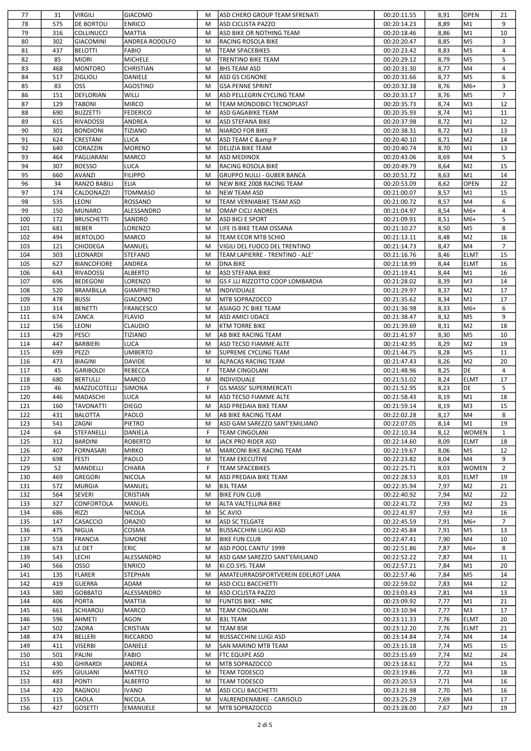| 77         | 31         | <b>VIRGILI</b>          | <b>GIACOMO</b>            | M      | ASD CHERO GROUP TEAM SFRENATI               | 00:20:11.55                | 8,91         | <b>OPEN</b>    | 21             |
|------------|------------|-------------------------|---------------------------|--------|---------------------------------------------|----------------------------|--------------|----------------|----------------|
| 78         | 575        | <b>DE BORTOLI</b>       | <b>ENRICO</b>             | M      | ASD CICLISTA PAZZO                          | 00:20:14.23                | 8,89         | M <sub>1</sub> | 9              |
| 79         | 316        | <b>COLLINUCCI</b>       | MATTIA                    | M      | ASD BIKE OR NOTHING TEAM                    | 00:20:18.46                | 8,86         | M <sub>1</sub> | 10             |
| 80         | 302        | GIACOMINI               | ANDREA RODOLFO            | M      | <b>RACING ROSOLA BIKE</b>                   | 00:20:20.47                | 8,85         | M <sub>5</sub> | 3              |
| 81         | 437        | <b>BELOTTI</b>          | <b>FABIO</b>              | M      | TEAM SPACEBIKES                             | 00:20:23.42                | 8,83         | M <sub>5</sub> | 4              |
| 82         | 85         | MIORI                   | MICHELE                   | M      | TRENTINO BIKE TEAM                          | 00:20:29.12                | 8,79         | M5             | 5              |
| 83         | 468        | <b>MONTORO</b>          | CHRISTIAN                 | M      | <b>BHS TEAM ASD</b>                         | 00:20:31.30                | 8,77         | M4             | 4              |
|            |            |                         |                           |        |                                             |                            |              |                |                |
| 84         | 517        | <b>ZIGLIOLI</b>         | DANIELE                   | M      | ASD GS CIGNONE                              | 00:20:31.66                | 8,77         | M <sub>5</sub> | 6              |
| 85         | 83         | loss                    | AGOSTINO                  | M      | <b>GSA PENNE SPRINT</b>                     | 00:20:32.38                | 8,76         | M6+            | 3              |
| 86         | 151        | DEFLORIAN               | <b>WILLI</b>              | M      | ASD PELLEGRIN CYCLING TEAM                  | 00:20:33.17                | 8,76         | M5             | $\overline{7}$ |
| 87         | 129        | <b>TABONI</b>           | <b>MIRCO</b>              | M      | TEAM MONDOBICI TECNOPLAST                   | 00:20:35.73                | 8,74         | M <sub>3</sub> | 12             |
| 88         | 690        | <b>BUZZETTI</b>         | <b>FEDERICO</b>           | M      | <b>ASD GAGABIKE TEAM</b>                    | 00:20:35.93                | 8,74         | M1             | 11             |
| 89         | 615        | <b>RIVADOSSI</b>        | ANDREA                    | M      | <b>ASD STEFANA BIKE</b>                     | 00:20:37.98                | 8,72         | M1             | 12             |
| 90         | 301        | <b>BONDIONI</b>         | <b>TIZIANO</b>            | M      | NIARDO FOR BIKE                             | 00:20:38.31                | 8,72         | M <sub>3</sub> | 13             |
| 91         | 624        | CRESTANI                | LUCA                      | M      | ASD TEAM C & P                              | 00:20:40.10                | 8,71         | M <sub>2</sub> | 14             |
| 92         | 640        | CORAZZIN                | <b>MORENO</b>             | M      | <b>DELIZIA BIKE TEAM</b>                    | 00:20:40.74                | 8,70         | M <sub>1</sub> | 13             |
|            |            |                         |                           |        |                                             |                            |              |                |                |
| 93         | 464        | PAGLIARANI              | MARCO                     | M      | <b>ASD MEDINOX</b>                          | 00:20:43.06                | 8,69         | M4             | 5              |
| 94         | 307        | <b>BOESSO</b>           | LUCA                      | M      | RACING ROSOLA BIKE                          | 00:20:49.79                | 8,64         | M <sub>2</sub> | 15             |
| 95         | 660        | AVANZI                  | <b>FILIPPO</b>            | M      | <b>GRUPPO NULLI - GUBER BANCA</b>           | 00:20:51.72                | 8,63         | M <sub>1</sub> | 14             |
| 96         | 34         | <b>RANZO BABILI</b>     | <b>ELIA</b>               | M      | NEW BIKE 2008 RACING TEAM                   | 00:20:53.09                | 8,62         | <b>OPEN</b>    | 22             |
| 97         | 174        | CALDONAZZI              | TOMMASO                   | M      | <b>NEW TEAM ASD</b>                         | 00:21:00.07                | 8,57         | M <sub>1</sub> | 15             |
| 98         | 535        | <b>LEONI</b>            | ROSSANO                   | M      | TEAM VERNIABIKE TEAM ASD                    | 00:21:00.72                | 8,57         | M4             | 6              |
| 99         | 150        | MUNARO                  | ALESSANDRO                | M      | <b>OMAP CICLI ANDREIS</b>                   | 00:21:04.97                | 8,54         | M6+            | 4              |
| 100        | 172        | <b>BRUSCHETTI</b>       | SANDRO                    | M      | ASD BICI E SPORT                            | 00:21:09.91                | 8,51         | M6+            | 5              |
| 101        | 681        | <b>BEBER</b>            | LORENZO                   | M      | LIFE IS BIKE TEAM OSSANA                    | 00:21:10.27                | 8,50         | M5             | 8              |
|            |            |                         |                           |        |                                             |                            |              |                |                |
| 102        | 494        | <b>BERTOLDO</b>         | MARCO                     | M      | TEAM ECOR MTB SCHIO                         | 00:21:13.11                | 8,48         | M <sub>2</sub> | 16             |
| 103        | 121        | CHIODEGA                | MANUEL                    | M      | VIGILI DEL FUOCO DEL TRENTINO               | 00:21:14.73                | 8,47         | M4             | $\overline{7}$ |
| 104        | 303        | <b>LEONARDI</b>         | <b>STEFANO</b>            | M      | TEAM LAPIERRE - TRENTINO - ALE'             | 00:21:16.76                | 8,46         | <b>ELMT</b>    | 15             |
| 105        | 627        | <b>BIANCOFIORE</b>      | ANDREA                    | M      | <b>DNA BIKE</b>                             | 00:21:18.99                | 8,44         | <b>ELMT</b>    | 16             |
| 106        | 643        | <b>RIVADOSSI</b>        | <b>ALBERTO</b>            | M      | ASD STEFANA BIKE                            | 00:21:19.41                | 8,44         | M1             | 16             |
| 107        | 696        | <b>BEDEGONI</b>         | LORENZO                   | M      | GS F.LLI RIZZOTTO COOP LOMBARDIA            | 00:21:28.02                | 8,39         | lM3            | 14             |
| 108        | 520        | <b>BRAMBILLA</b>        | <b>GIAMPIETRO</b>         | M      | <b>INDIVIDUALE</b>                          | 00:21:29.97                | 8,37         | M <sub>2</sub> | 17             |
| 109        | 478        | <b>BUSSI</b>            | GIACOMO                   | M      | MTB SOPRAZOCCO                              | 00:21:35.62                | 8,34         | M1             | 17             |
| 110        | 314        | <b>BENETTI</b>          | <b>FRANCESCO</b>          | M      | ASIAGO 7C BIKE TEAM                         | 00:21:36.98                | 8,33         | M6+            | 6              |
|            |            |                         |                           |        |                                             |                            |              | M <sub>5</sub> |                |
| 111        | 674        | ZANCA                   | <b>FLAVIO</b>             | M      | <b>ASD AMICI UDACE</b>                      | 00:21:38.47                | 8,32         |                | 9              |
| 112        | 156        | LEONI                   | CLAUDIO                   | M      | <b>KTM TORRE BIKE</b>                       | 00:21:39.69                | 8,31         | M <sub>2</sub> | 18             |
| 113        | 429        | PESCI                   | TIZIANO                   | M      | AB BIKE RACING TEAM                         | 00:21:41.97                | 8,30         | M <sub>5</sub> | 10             |
| 114        | 447        | <b>BARBIERI</b>         | LUCA                      | M      | <b>ASD TECSO FIAMME ALTE</b>                | 00:21:42.95                | 8,29         | M <sub>2</sub> | 19             |
| 115        | 699        | PEZZI                   | UMBERTO                   | M      | SUPREME CYCLING TEAM                        | 00:21:44.75                | 8,28         | M <sub>5</sub> | 11             |
| 116        | 473        | <b>BIAGINI</b>          | <b>DAVIDE</b>             | M      | <b>ALPACAS RACING TEAM</b>                  | 00:21:47.43                | 8,26         | M <sub>2</sub> | 20             |
| 117        | 45         | <b>GARIBOLDI</b>        | REBECCA                   | F      | <b>TEAM CINGOLANI</b>                       | 00:21:48.96                | 8,25         | DE             | $\overline{4}$ |
| 118        | 680        | <b>BERTULLI</b>         | MARCO                     | M      | <b>INDIVIDUALE</b>                          | 00:21:51.02                | 8,24         | <b>ELMT</b>    | 17             |
| 119        | 46         | MAZZUCOTELLI            | <b>SIMONA</b>             | F      | <b>GS MASSI' SUPERMERCATI</b>               |                            | 8,23         | DE             | 5              |
|            |            |                         |                           |        |                                             | 00:21:52.95                |              |                |                |
| 120        | 446        | MADASCHI                | LUCA                      | M      | <b>ASD TECSO FIAMME ALTE</b>                | 00:21:58.43                | 8,19         | M1             | 18             |
| 121        | 160        | <b>TAVONATTI</b>        | <b>DIEGO</b>              | M      | <b>ASD PREDAIA BIKE TEAM</b>                | 00:21:59.14                | 8,19         | Імз            | 15             |
| 122        | 431        | <b>BALOTTA</b>          | PAOLO                     | M      | <b>AB BIKE RACING TEAM</b>                  | 00:22:02.28                | 8,17         | M4             | 8              |
| 123        | 541        | ZAGNI                   | PIETRO                    | M      | ASD GAM SAREZZO SANT'EMILIANO               | 00:22:07.05                | 8,14         | M <sub>1</sub> | 19             |
| 124        | 64         | STEFANELLI              | DANIELA                   | F      | <b>TEAM CINGOLANI</b>                       | 00:22:10.34                | 8,12         | <b>WOMEN</b>   | $\mathbf{1}$   |
| 125        | 312        | <b>BARDINI</b>          | <b>ROBERTO</b>            | M      | JACK PRO RIDER ASD                          | 00:22:14.60                | 8,09         | <b>ELMT</b>    | 18             |
| 126        | 407        | <b>FORNASARI</b>        | <b>MIRKO</b>              | M      | MARCONI BIKE RACING TEAM                    | 00:22:19.67                | 8,06         | M <sub>5</sub> | 12             |
| 127        | 698        | <b>FESTI</b>            | PAOLO                     | M      | <b>TEAM EXECUTIVE</b>                       | 00:22:23.82                | 8,04         | M4             | 9              |
| 129        | 52         | <b>MANDELLI</b>         | CHIARA                    | F      | <b>TEAM SPACEBIKES</b>                      | 00:22:25.71                | 8,03         | <b>WOMEN</b>   | 2              |
|            |            |                         |                           |        |                                             |                            |              |                |                |
| 130        | 469        | <b>GREGORI</b>          | <b>NICOLA</b>             | M      | ASD PREDAIA BIKE TEAM                       | 00:22:28.53                | 8,01         | <b>ELMT</b>    | 19             |
| 131        | 572        | <b>MURGIA</b>           | MANUEL                    | M      | <b>B3L TEAM</b>                             | 00:22:35.94                | 7,97         | M <sub>2</sub> | 21             |
| 132        | 564        | <b>SEVERI</b>           | CRISTIAN                  | M      | <b>BIKE FUN CLUB</b>                        | 00:22:40.92                | 7,94         | M2             | 22             |
| 133        | 327        | CONFORTOLA              | MANUEL                    | M      | ALTA VALTELLINA BIKE                        | 00:22:41.72                | 7,93         | M2             | 23             |
| 134        | 686        | <b>RIZZI</b>            | <b>NICOLA</b>             | M      | <b>SC AVIO</b>                              | 00:22:41.97                | 7,93         | M3             | 16             |
| 135        | 147        | CASACCIO                | ORAZIO                    | M      | <b>ASD SC TELGATE</b>                       | 00:22:45.59                | 7,91         | M6+            | $\overline{7}$ |
| 136        | 475        | <b>NIGLIA</b>           | COSMA                     | M      | <b>BUSSACCHINI LUIGI ASD</b>                | 00:22:45.84                | 7,91         | M <sub>5</sub> | 13             |
| 137        | 558        | <b>FRANCIA</b>          | <b>SIMONE</b>             | M      | <b>BIKE FUN CLUB</b>                        | 00:22:47.41                | 7,90         | M4             | 10             |
| 138        | 673        | le det                  | <b>ERIC</b>               | M      | ASD POOL CANTU' 1999                        | 00:22:51.86                | 7,87         | M6+            | 8              |
| 139        | 543        | LECHI                   |                           | M      |                                             |                            | 7,87         | M4             | 11             |
|            |            |                         | ALESSANDRO                |        | ASD GAM SAREZZO SANT'EMILIANO               | 00:22:52.22                |              |                |                |
| 140        | 566        | OSSO                    | <b>ENRICO</b>             | M      | KI.CO.SYS. TEAM                             | 00:22:57.21                | 7,84         | M <sub>1</sub> | 20             |
| 141        | 135        | <b>FLARER</b>           | STEPHAN                   | M      | AMATEURRADSPORTVEREIN EDELROT LANA          | 00:22:57.46                | 7,84         | M <sub>5</sub> | 14             |
| 142        | 419        | GUERRA                  | ADAM                      | M      | <b>ASD CICLI BACCHETTI</b>                  | 00:22:59.02                | 7,83         | M4             | 12             |
| 143        | 580        | <b>GOBBATO</b>          | ALESSANDRO                | M      | <b>ASD CICLISTA PAZZO</b>                   | 00:23:03.43                | 7,81         | M4             | 13             |
| 144        | 406        | <b>PORTA</b>            | MATTIA                    | M      | <b>FUNTOS BIKE - NRC</b>                    | 00:23:09.92                | 7,77         | M1             | 21             |
| 145        | 661        | <b>SCHIAROLI</b>        | MARCO                     | M      | TEAM CINGOLANI                              | 00:23:10.94                | 7,77         | M3             | 17             |
| 146        | 596        | AHMETI                  | AGON                      | M      | <b>B3L TEAM</b>                             | 00:23:11.33                | 7,76         | <b>ELMT</b>    | 20             |
| 147        | 502        | ZADRA                   | CRISTIAN                  | M      | TEAM BSR                                    | 00:23:12.20                | 7,76         | <b>ELMT</b>    | 21             |
|            |            |                         |                           |        |                                             |                            |              |                |                |
| 148        | 474        | BELLERI                 | RICCARDO                  | M      | <b>BUSSACCHINI LUIGI ASD</b>                | 00:23:14.84                | 7,74         | M4             | 14             |
| 149        | 411        | <b>VISERBI</b>          | DANIELE                   | M      | SAN MARINO MTB TEAM                         | 00:23:15.18                | 7,74         | M <sub>5</sub> | 15             |
| 150        |            | PALINI                  | FABIO                     | M      | <b>FTC EQUIPE ASD</b>                       | 00:23:15.69                | 7,74         | M <sub>2</sub> | 24             |
|            | 501        |                         |                           |        |                                             |                            |              |                |                |
| 151        | 430        | <b>GHIRARDI</b>         | ANDREA                    | M      | MTB SOPRAZOCCO                              | 00:23:18.61                | 7,72         | M4             | 15             |
| 152        | 695        | <b>GIULIANI</b>         | <b>MATTEO</b>             | M      | TEAM TODESCO                                | 00:23:19.86                | 7,72         | M <sub>3</sub> | 18             |
| 153        | 483        | <b>PONTI</b>            | <b>ALBERTO</b>            | M      | <b>TEAM TODESCO</b>                         | 00:23:20.53                | 7,71         | M4             | 16             |
| 154        | 420        | RAGNOLI                 | <b>IVANO</b>              | M      | <b>ASD CICLI BACCHETTI</b>                  | 00:23:21.98                | 7,70         | M <sub>5</sub> | 16             |
|            |            |                         |                           |        |                                             |                            |              |                |                |
| 155<br>156 | 115<br>427 | CAOLA<br><b>GOSETTI</b> | <b>NICOLA</b><br>EMANUELE | M<br>M | VALRENDENABIKE - CARISOLO<br>MTB SOPRAZOCCO | 00:23:25.29<br>00:23:28.00 | 7,69<br>7,67 | M4<br>M3       | 17<br>19       |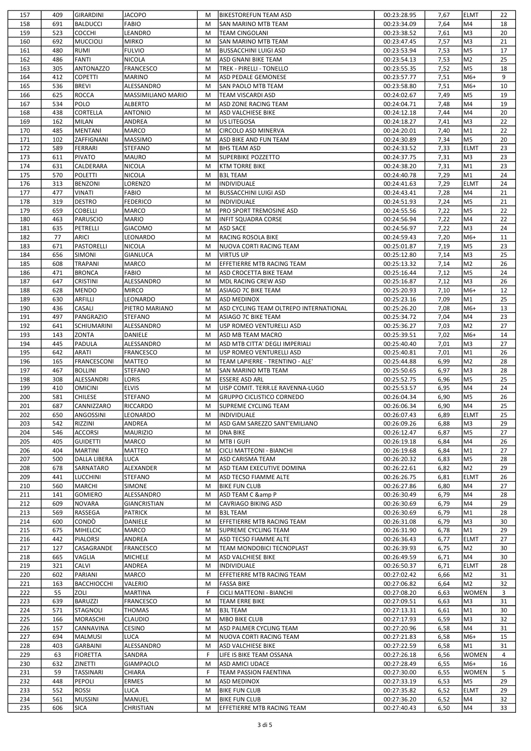| 157 | 409 | <b>GIRARDINI</b>   | <b>JACOPO</b>             | М | <b>BIKESTOREFUN TEAM ASD</b>           | 00:23:28.95 | 7,67 | <b>ELMT</b>    | 22 |
|-----|-----|--------------------|---------------------------|---|----------------------------------------|-------------|------|----------------|----|
| 158 | 691 | BALDUCCI           | FABIO                     | M | <b>SAN MARINO MTB TEAM</b>             | 00:23:34.09 | 7,64 | M4             | 18 |
| 159 | 523 | Ісоссні            | LEANDRO                   | M | TEAM CINGOLANI                         | 00:23:38.52 | 7,61 | lM3            | 20 |
| 160 | 692 | MUCCIOLI           | <b>MIRKO</b>              | M | <b>SAN MARINO MTB TEAM</b>             | 00:23:47.45 | 7,57 | lM3            | 21 |
| 161 | 480 | <b>RUMI</b>        | <b>FULVIO</b>             | M | <b>BUSSACCHINI LUIGI ASD</b>           | 00:23:53.94 | 7,53 | M <sub>5</sub> | 17 |
| 162 | 486 | FANTI              | <b>NICOLA</b>             | M | ASD GNANI BIKE TEAM                    | 00:23:54.13 | 7,53 | M2             | 25 |
| 163 | 305 | <b>ANTONAZZO</b>   | <b>FRANCESCO</b>          | M | TREK - PIRELLI - TONELLO               | 00:23:55.35 | 7,52 | M5             | 18 |
|     |     |                    |                           |   |                                        |             |      |                |    |
| 164 | 412 | <b>COPETTI</b>     | <b>MARINO</b>             | M | ASD PEDALE GEMONESE                    | 00:23:57.77 | 7,51 | M6+            | 9  |
| 165 | 536 | <b>BREVI</b>       | ALESSANDRO                | M | SAN PAOLO MTB TEAM                     | 00:23:58.80 | 7,51 | M6+            | 10 |
| 166 | 625 | ROCCA              | <b>MASSIMILIANO MARIO</b> | M | TEAM VISCARDI ASD                      | 00:24:02.67 | 7,49 | M5             | 19 |
| 167 | 534 | <b>POLO</b>        | <b>ALBERTO</b>            | M | ASD ZONE RACING TEAM                   | 00:24:04.71 | 7,48 | M4             | 19 |
| 168 | 438 | <b>CORTELLA</b>    | <b>ANTONIO</b>            | M | ASD VALCHIESE BIKE                     | 00:24:12.18 | 7,44 | M4             | 20 |
| 169 | 162 | MILAN              | ANDREA                    | M | US LITEGOSA                            | 00:24:18.27 | 7,41 | lмз            | 22 |
| 170 | 485 | MENTANI            | <b>MARCO</b>              | M | CIRCOLO ASD MINERVA                    | 00:24:20.01 | 7,40 | M <sub>1</sub> | 22 |
| 171 | 102 | <b>ZAFFIGNANI</b>  | MASSIMO                   | M | ASD BIKE AND FUN TEAM                  | 00:24:30.89 | 7,34 | M <sub>5</sub> | 20 |
| 172 | 589 | FERRARI            | <b>STEFANO</b>            | M | <b>BHS TEAM ASD</b>                    | 00:24:33.52 | 7,33 | <b>ELMT</b>    | 23 |
| 173 | 611 | <b>PIVATO</b>      | <b>MAURO</b>              | M | <b>SUPERBIKE POZZETTO</b>              | 00:24:37.75 | 7,31 | lM3            | 23 |
| 174 | 631 | CALDERARA          | <b>NICOLA</b>             | M | <b>KTM TORRE BIKE</b>                  | 00:24:38.20 | 7,31 | M1             | 23 |
| 175 | 570 | POLETTI            | NICOLA                    | M | <b>B3L TEAM</b>                        | 00:24:40.78 | 7,29 | M <sub>1</sub> | 24 |
| 176 | 313 | BENZONI            | LORENZO                   | M | INDIVIDUALE                            | 00:24:41.63 | 7,29 | <b>ELMT</b>    | 24 |
|     | 477 |                    |                           | M |                                        |             |      | M4             | 21 |
| 177 |     | <b>VINATI</b>      | <b>FABIO</b>              |   | <b>BUSSACCHINI LUIGI ASD</b>           | 00:24:43.41 | 7,28 |                |    |
| 178 | 319 | DESTRO             | <b>FEDERICO</b>           | М | INDIVIDUALE                            | 00:24:51.93 | 7,24 | M5             | 21 |
| 179 | 659 | <b>COBELLI</b>     | MARCO                     | M | <b>PRO SPORT TREMOSINE ASD</b>         | 00:24:55.56 | 7,22 | M5             | 22 |
| 180 | 463 | PARUSCIO           | <b>MARIO</b>              | M | <b>INFIT SQUADRA CORSE</b>             | 00:24:56.94 | 7,22 | M4             | 22 |
| 181 | 635 | PETRELLI           | <b>GIACOMO</b>            | M | <b>ASD SACE</b>                        | 00:24:56.97 | 7,22 | M <sub>3</sub> | 24 |
| 182 | 77  | ARICI              | LEONARDO                  | M | <b>RACING ROSOLA BIKE</b>              | 00:24:59.43 | 7,20 | M6+            | 11 |
| 183 | 671 | PASTORELLI         | <b>NICOLA</b>             | M | NUOVA CORTI RACING TEAM                | 00:25:01.87 | 7,19 | M5             | 23 |
| 184 | 656 | <b>SIMONI</b>      | <b>GIANLUCA</b>           | M | <b>VIRTUS UP</b>                       | 00:25:12.80 | 7,14 | lM3            | 25 |
| 185 | 608 | TRAPANI            | <b>MARCO</b>              | M | EFFETIERRE MTB RACING TEAM             | 00:25:13.32 | 7,14 | M2             | 26 |
| 186 | 471 | <b>BRONCA</b>      | <b>FABIO</b>              | M | ASD CROCETTA BIKE TEAM                 | 00:25:16.44 | 7,12 | M5             | 24 |
| 187 | 647 | <b>CRISTINI</b>    | ALESSANDRO                | M | MDL RACING CREW ASD                    | 00:25:16.87 | 7,12 | lмз            | 26 |
| 188 | 628 | MENDO              | <b>MIRCO</b>              | M | ASIAGO 7C BIKE TEAM                    | 00:25:20.93 | 7,10 | M6+            | 12 |
| 189 | 630 | ARFILLI            | LEONARDO                  | M | <b>ASD MEDINOX</b>                     | 00:25:23.16 | 7,09 | M1             | 25 |
|     |     |                    |                           |   |                                        |             |      |                |    |
| 190 | 436 | CASALI             | PIETRO MARIANO            | M | ASD CYCLING TEAM OLTREPO INTERNATIONAL | 00:25:26.20 | 7,08 | M6+            | 13 |
| 191 | 497 | PANGRAZIO          | <b>STEFANO</b>            | M | ASIAGO 7C BIKE TEAM                    | 00:25:34.72 | 7,04 | M4             | 23 |
| 192 | 641 | SCHIUMARINI        | ALESSANDRO                | M | USP ROMEO VENTURELLI ASD               | 00:25:36.27 | 7,03 | M2             | 27 |
| 193 | 143 | <b>ZONTA</b>       | <b>DANIELE</b>            | M | ASD MB TEAM MACRO                      | 00:25:39.51 | 7,02 | M6+            | 14 |
| 194 | 445 | <b>PADULA</b>      | ALESSANDRO                | M | ASD MTB CITTA' DEGLI IMPERIALI         | 00:25:40.40 | 7,01 | lM3            | 27 |
| 195 | 642 | ARATI              | <b>FRANCESCO</b>          | M | USP ROMEO VENTURELLI ASD               | 00:25:40.81 | 7,01 | M <sub>1</sub> | 26 |
| 196 | 165 | FRANCESCONI        | <b>MATTEO</b>             | M | TEAM LAPIERRE - TRENTINO - ALE'        | 00:25:44.88 | 6,99 | M2             | 28 |
| 197 | 467 | <b>BOLLINI</b>     | <b>STEFANO</b>            | M | <b>SAN MARINO MTB TEAM</b>             | 00:25:50.65 | 6,97 | lM3            | 28 |
| 198 | 308 | ALESSANDRI         | LORIS                     | M | <b>ESSERE ASD ARL</b>                  | 00:25:52.75 | 6,96 | M5             | 25 |
| 199 | 410 | <b>OMICINI</b>     | <b>ELVIS</b>              | М | UISP COMIT. TERR.LE RAVENNA-LUGO       | 00:25:53.57 | 6,95 | M4             | 24 |
| 200 | 581 | <b>CHILESE</b>     | <b>STEFANO</b>            | M | <b>GRUPPO CICLISTICO CORNEDO</b>       | 00:26:04.34 | 6,90 | M5             | 26 |
| 201 | 687 | CANNIZZARO         | <b>RICCARDO</b>           | M | <b>SUPREME CYCLING TEAM</b>            | 00:26:06.34 | 6,90 | lм4            | 25 |
|     |     |                    |                           |   |                                        |             |      |                |    |
| 202 | 650 | ANGOSSINI          | LEONARDO                  | М | <b>INDIVIDUALE</b>                     | 00:26:07.43 | 6,89 | ELMT           | 25 |
| 203 | 542 | RIZZINI            | ANDREA                    | M | ASD GAM SAREZZO SANT'EMILIANO          | 00:26:09.26 | 6,88 | M3<br>lм5      | 29 |
| 204 | 546 | Iaccorsi           | <b>MAURIZIO</b>           | M | <b>DNA BIKE</b>                        | 00:26:12.47 | 6,87 |                | 27 |
| 205 | 405 | GUIDETTI           | MARCO                     | M |                                        |             |      |                |    |
| 206 | 404 |                    |                           |   | MTB I GUFI                             | 00:26:19.18 | 6,84 | M4             | 26 |
| 207 |     | MARTINI            | <b>MATTEO</b>             | M | CICLI MATTEONI - BIANCHI               | 00:26:19.68 | 6,84 | M <sub>1</sub> | 27 |
| 208 | 500 | DALLA LIBERA       | <b>LUCA</b>               | M | <b>ASD CARISMA TEAM</b>                | 00:26:20.32 | 6,83 | M <sub>5</sub> | 28 |
|     | 678 | SARNATARO          | ALEXANDER                 | M | ASD TEAM EXECUTIVE DOMINA              | 00:26:22.61 | 6,82 | M <sub>2</sub> | 29 |
| 209 | 441 | <b>LUCCHINI</b>    | <b>STEFANO</b>            | M | ASD TECSO FIAMME ALTE                  | 00:26:26.75 | 6,81 | <b>ELMT</b>    | 26 |
| 210 | 560 | MARCHI             | <b>SIMONE</b>             | M | <b>BIKE FUN CLUB</b>                   | 00:26:27.86 | 6,80 | M4             | 27 |
| 211 | 141 | <b>GOMIERO</b>     | ALESSANDRO                | M | ASD TEAM C & P                         | 00:26:30.49 | 6,79 | M4             | 28 |
| 212 | 609 | NOVARA             | <b>GIANCRISTIAN</b>       | M | CAVRIAGO BIKING ASD                    | 00:26:30.69 | 6,79 | M4             | 29 |
|     |     |                    |                           |   |                                        |             |      |                |    |
| 213 | 569 | RASSEGA            | PATRICK                   | M | <b>B3L TEAM</b>                        | 00:26:30.69 | 6,79 | M1             | 28 |
| 214 | 600 | <b>CONDÒ</b>       | DANIELE                   | M | EFFETIERRE MTB RACING TEAM             | 00:26:31.08 | 6,79 | M3             | 30 |
| 215 | 675 | MIHELCIC           | MARCO                     | M | SUPREME CYCLING TEAM                   | 00:26:31.90 | 6,78 | M1             | 29 |
| 216 | 442 | PIALORSI           | ANDREA                    | м | ASD TECSO FIAMME ALTE                  | 00:26:36.43 | 6,77 | <b>ELMT</b>    | 27 |
| 217 | 127 | CASAGRANDE         | <b>FRANCESCO</b>          | M | TEAM MONDOBICI TECNOPLAST              | 00:26:39.93 | 6,75 | M2             | 30 |
| 218 | 665 | VAGLIA             | <b>MICHELE</b>            | M | ASD VALCHIESE BIKE                     | 00:26:49.59 | 6,71 | M4             | 30 |
| 219 | 321 | <b>CALVI</b>       | ANDREA                    | M | <b>INDIVIDUALE</b>                     | 00:26:50.37 | 6,71 | <b>ELMT</b>    | 28 |
| 220 | 602 | PARIANI            | MARCO                     | M | EFFETIERRE MTB RACING TEAM             | 00:27:02.42 | 6,66 | M <sub>2</sub> | 31 |
| 221 | 163 | <b>BACCHIOCCHI</b> | VALERIO                   | M | <b>FASSA BIKE</b>                      | 00:27:06.82 | 6,64 | M2             | 32 |
| 222 | 55  | <b>ZOLI</b>        | <b>MARTINA</b>            | F | CICLI MATTEONI - BIANCHI               | 00:27:08.20 | 6,63 | <b>WOMEN</b>   | 3  |
| 223 | 639 | <b>BARUZZI</b>     | <b>FRANCESCO</b>          | M | TEAM ERRE BIKE                         | 00:27:09.51 | 6,63 | M3             | 31 |
| 224 | 571 | STAGNOLI           | <b>THOMAS</b>             | M | <b>B3L TEAM</b>                        | 00:27:13.31 | 6,61 | M <sub>1</sub> | 30 |
| 225 | 166 | MORASCHI           | <b>CLAUDIO</b>            | М | <b>MBO BIKE CLUB</b>                   | 00:27:17.93 | 6,59 | lM3            | 32 |
|     |     |                    |                           |   |                                        |             |      |                |    |
| 226 | 157 | <b>CANNAVINA</b>   | <b>CESINO</b>             | M | ASD PALMER CYCLING TEAM                | 00:27:20.96 | 6,58 | M4             | 31 |
| 227 | 694 | MALMUSI            | <b>LUCA</b>               | M | NUOVA CORTI RACING TEAM                | 00:27:21.83 | 6,58 | M6+            | 15 |
| 228 | 403 | <b>GARBAINI</b>    | ALESSANDRO                | М | <b>ASD VALCHIESE BIKE</b>              | 00:27:22.59 | 6,58 | M <sub>1</sub> | 31 |
| 229 | 63  | FIORETTA           | SANDRA                    | F | LIFE IS BIKE TEAM OSSANA               | 00:27:26.18 | 6,56 | <b>WOMEN</b>   | 4  |
| 230 | 632 | <b>ZINETTI</b>     | <b>GIAMPAOLO</b>          | M | ASD AMICI UDACE                        | 00:27:28.49 | 6,55 | M6+            | 16 |
| 231 | 59  | <b>TASSINARI</b>   | CHIARA                    | F | TEAM PASSION FAENTINA                  | 00:27:30.00 | 6,55 | <b>WOMEN</b>   | 5  |
| 232 | 448 | PEPOLI             | <b>ERMES</b>              | M | <b>ASD MEDINOX</b>                     | 00:27:33.19 | 6,53 | M5             | 29 |
| 233 | 552 | ROSSI              | LUCA                      | М | <b>BIKE FUN CLUB</b>                   | 00:27:35.82 | 6,52 | <b>ELMT</b>    | 29 |
| 234 | 561 | MUSSINI            | MANUEL                    | М | <b>BIKE FUN CLUB</b>                   | 00:27:36.20 | 6,52 | M4             | 32 |

 $\blacksquare$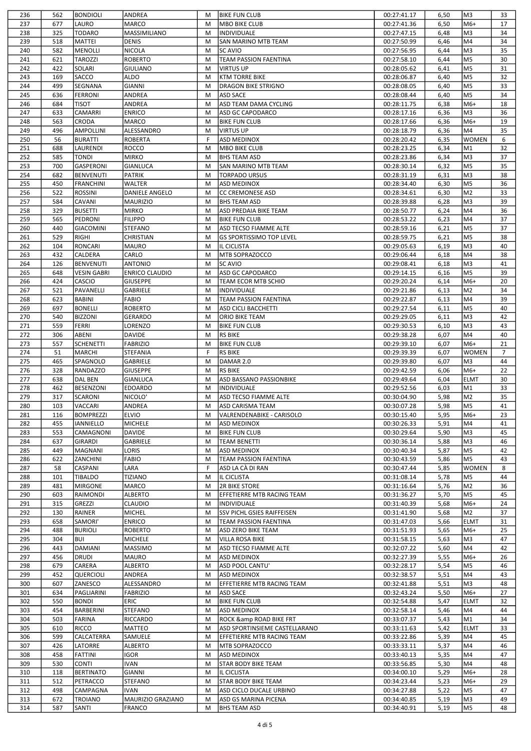| 236        | 562        | <b>BONDIOLI</b>          | ANDREA                             | M | <b>BIKE FUN CLUB</b>                        | 00:27:41.17                | 6,50         | M3             | 33             |
|------------|------------|--------------------------|------------------------------------|---|---------------------------------------------|----------------------------|--------------|----------------|----------------|
| 237        | 677        | LAURO                    | <b>MARCO</b>                       | M | <b>MBO BIKE CLUB</b>                        | 00:27:41.36                | 6,50         | M6+            | 17             |
| 238        | 325        | <b>TODARO</b>            | MASSIMILIANO                       | M | INDIVIDUALE                                 | 00:27:47.15                | 6,48         | lM3            | 34             |
| 239        | 518        | MATTEI                   | <b>DENIS</b>                       | M | <b>SAN MARINO MTB TEAM</b>                  | 00:27:50.99                | 6,46         | M4             | 34             |
| 240        | 582        | MENOLLI                  | <b>NICOLA</b>                      | M | <b>SC AVIO</b>                              | 00:27:56.95                | 6,44         | M <sub>3</sub> | 35             |
| 241        | 621        | <b>TAROZZI</b>           | <b>ROBERTO</b>                     | M | TEAM PASSION FAENTINA                       | 00:27:58.10                | 6,44         | M5             | 30             |
| 242        | 422        | <b>SOLARI</b>            | <b>GIULIANO</b>                    | M | <b>VIRTUS UP</b>                            | 00:28:05.62                | 6,41         | M5             | 31             |
| 243        | 169        | <b>SACCO</b>             | <b>ALDO</b>                        | M | <b>KTM TORRE BIKE</b>                       | 00:28:06.87                | 6,40         | M <sub>5</sub> | 32             |
| 244        | 499        | SEGNANA                  | GIANNI                             | M | DRAGON BIKE STRIGNO                         | 00:28:08.05                | 6,40         | M5             | 33             |
| 245        | 636        | <b>FERRONI</b>           | <b>ANDREA</b>                      | M | <b>ASD SACE</b>                             | 00:28:08.44                | 6,40         | M5             | 34             |
|            |            | <b>TISOT</b>             |                                    | M |                                             |                            |              | M6+            |                |
| 246        | 684        |                          | ANDREA                             |   | ASD TEAM DAMA CYCLING                       | 00:28:11.75                | 6,38         |                | 18             |
| 247        | 633        | <b>CAMARRI</b>           | <b>ENRICO</b>                      | M | ASD GC CAPODARCO                            | 00:28:17.16                | 6,36         | M <sub>3</sub> | 36             |
| 248        | 563        | <b>CRODA</b>             | <b>MARCO</b>                       | M | <b>BIKE FUN CLUB</b>                        | 00:28:17.66                | 6,36         | M6+            | 19             |
| 249        | 496        | <b>AMPOLLINI</b>         | ALESSANDRO                         | M | <b>VIRTUS UP</b>                            | 00:28:18.79                | 6,36         | M4             | 35             |
| 250        | 56         | <b>BURATTI</b>           | <b>ROBERTA</b>                     | F | ASD MEDINOX                                 | 00:28:20.42                | 6,35         | <b>WOMEN</b>   | 6              |
| 251        | 688        | LAURENDI                 | ROCCO                              | M | <b>MBO BIKE CLUB</b>                        | 00:28:23.25                | 6,34         | M1             | 32             |
| 252        | 585        | <b>TONDI</b>             | <b>MIRKO</b>                       | M | <b>BHS TEAM ASD</b>                         | 00:28:23.86                | 6,34         | lM3            | 37             |
| 253        | 700        | <b>GASPERONI</b>         | GIANLUCA                           | M | SAN MARINO MTB TEAM                         | 00:28:30.14                | 6,32         | M5             | 35             |
| 254        | 682        | BENVENUTI                | <b>PATRIK</b>                      | M | TORPADO URSUS                               | 00:28:31.19                | 6,31         | M <sub>3</sub> | 38             |
| 255        | 450        | FRANCHINI                | <b>WALTER</b>                      | M | <b>ASD MEDINOX</b>                          | 00:28:34.40                | 6,30         | M5             | 36             |
| 256        | 522        | <b>ROSSINI</b>           | DANIELE ANGELO                     | M | <b>CC CREMONESE ASD</b>                     | 00:28:34.61                | 6,30         | M <sub>2</sub> | 33             |
| 257        | 584        | <b>CAVANI</b>            | <b>MAURIZIO</b>                    | M | <b>BHS TEAM ASD</b>                         | 00:28:39.88                | 6,28         | lM3            | 39             |
| 258        | 329        | BUSETTI                  | <b>MIRKO</b>                       | M | ASD PREDAIA BIKE TEAM                       | 00:28:50.77                | 6,24         | M4             | 36             |
| 259        | 565        | PEDRONI                  | <b>FILIPPO</b>                     | M | <b>BIKE FUN CLUB</b>                        | 00:28:53.22                | 6,23         | M4             | 37             |
| 260        | 440        | GIACOMINI                | <b>STEFANO</b>                     | M | <b>ASD TECSO FIAMME ALTE</b>                | 00:28:59.16                | 6,21         | M <sub>5</sub> | 37             |
| 261        | 529        | RIGHI                    | CHRISTIAN                          | M | <b>GS SPORTISSIMO TOP LEVEL</b>             | 00:28:59.75                | 6,21         | M5             | 38             |
| 262        | 104        | <b>RONCARI</b>           | <b>MAURO</b>                       | M | IL CICLISTA                                 | 00:29:05.63                | 6,19         | lмз            | 40             |
| 263        | 432        | <b>CALDERA</b>           | CARLO                              | M | MTB SOPRAZOCCO                              | 00:29:06.44                | 6,18         | M4             | 38             |
| 264        | 126        | BENVENUTI                | <b>ANTONIO</b>                     | M | <b>SC AVIO</b>                              | 00:29:08.41                | 6,18         | lM3            | 41             |
| 265        | 648        | <b>VESIN GABRI</b>       | <b>ENRICO CLAUDIO</b>              | M | ASD GC CAPODARCO                            | 00:29:14.15                | 6,16         | M5             | 39             |
| 266        | 424        | <b>CASCIO</b>            | <b>GIUSEPPE</b>                    | M | TEAM ECOR MTB SCHIO                         | 00:29:20.24                | 6,14         | M6+            | 20             |
| 267        | 521        | <b>PAVANELLI</b>         | GABRIELE                           | M | INDIVIDUALE                                 | 00:29:21.86                | 6,13         | M2             | 34             |
| 268        | 623        | BABINI                   | FABIO                              | M | TEAM PASSION FAENTINA                       | 00:29:22.87                | 6,13         | M4             | 39             |
|            | 697        |                          |                                    |   |                                             |                            |              |                | 40             |
| 269        |            | BONELLI                  | <b>ROBERTO</b>                     | M | ASD CICLI BACCHETTI                         | 00:29:27.54                | 6,11         | M5             |                |
| 270        | 540        | <b>BIZZONI</b>           | <b>GERARDO</b>                     | M | ORIO BIKE TEAM                              | 00:29:29.05                | 6,11         | lM3            | 42             |
| 271        | 559        | FERRI                    | LORENZO                            | M | <b>BIKE FUN CLUB</b>                        | 00:29:30.53                | 6,10         | M <sub>3</sub> | 43             |
| 272        | 306        | ABENI                    | <b>DAVIDE</b>                      | M | <b>RS BIKE</b>                              | 00:29:38.28                | 6,07         | M4             | 40             |
| 273        | 557        | SCHENETTI                | <b>FABRIZIO</b>                    | M | <b>BIKE FUN CLUB</b>                        | 00:29:39.10                | 6,07         | M6+            | 21             |
| 274        | 51         | MARCHI                   | STEFANIA                           | F | <b>RS BIKE</b>                              | 00:29:39.39                | 6,07         | <b>WOMEN</b>   | $\overline{7}$ |
| 275        | 465        | SPAGNOLO                 | GABRIELE                           | M | DAMAR 2.0                                   | 00:29:39.80                | 6,07         | M3             | 44             |
| 276        | 328        | <b>RANDAZZO</b>          | <b>GIUSEPPE</b>                    | M | <b>RS BIKE</b>                              | 00:29:42.59                | 6,06         | M6+            | 22             |
| 277        | 638        | DAL BEN                  | <b>GIANLUCA</b>                    | M | ASD BASSANO PASSIONBIKE                     | 00:29:49.64                | 6,04         | <b>ELMT</b>    | 30             |
| 278        | 462        | BESENZONI                | <b>EDOARDO</b>                     | M | INDIVIDUALE                                 | 00:29:52.56                | 6,03         | M <sub>1</sub> | 33             |
| 279        | 317        | <b>SCARONI</b>           | NICOLO'                            | M | ASD TECSO FIAMME ALTE                       | 00:30:04.90                | 5,98         | M <sub>2</sub> | 35             |
| 280        | 103        | IVACCARI                 | ANDREA                             | M | <b>ASD CARISMA TEAM</b>                     | 00:30:07.28                | 5,98         | lм5            | 41             |
| 281        | 116        | <b>BOMPREZZI</b>         | <b>ELVIO</b>                       | M | VALRENDENABIKE - CARISOLO                   | 00:30:15.40                | 5,95         | M6+            | 23             |
| 282        | 455        | <b>IANNIELLO</b>         | <b>MICHELE</b>                     | М | <b>ASD MEDINOX</b>                          | 00:30:26.33                | 5,91         | M4             | 41             |
| 283        | 553        | CAMAGNONI                | <b>DAVIDE</b>                      | M | <b>BIKE FUN CLUB</b>                        | 00:30:29.64                | 5,90         | lM3            | 45             |
| 284        | 637        | GIRARDI                  | <b>GABRIELE</b>                    | M | TEAM BENETTI                                | 00:30:36.14                | 5,88         | M3             | 46             |
| 285        | 449        | MAGNANI                  | LORIS                              | M | ASD MEDINOX                                 | 00:30:40.34                | 5,87         | M <sub>5</sub> | 42             |
| 286        | 622        | <b>ZANCHINI</b>          | <b>FABIO</b>                       | М | <b>TEAM PASSION FAENTINA</b>                | 00:30:43.59                | 5,86         | M5             | 43             |
| 287        | 58         | CASPANI                  | LARA                               | F | ASD LA CÀ DI RAN                            | 00:30:47.44                | 5,85         | <b>WOMEN</b>   | 8              |
| 288        | 101        | <b>TIBALDO</b>           | <b>TIZIANO</b>                     | М | IL CICLISTA                                 | 00:31:08.14                | 5,78         | M <sub>5</sub> | 44             |
| 289        | 481        | MIRGONE                  | MARCO                              | М | <b>2R BIKE STORE</b>                        | 00:31:16.64                | 5,76         | M2             | 36             |
| 290        | 603        | RAIMONDI                 | <b>ALBERTO</b>                     | M | EFFETIERRE MTB RACING TEAM                  | 00:31:36.27                | 5,70         | M5             | 45             |
| 291        | 315        | <b>GREZZI</b>            | <b>CLAUDIO</b>                     | м | INDIVIDUALE                                 | 00:31:40.39                | 5,68         | M6+            | 24             |
| 292        | 130        | <b>RAINER</b>            | <b>MICHEL</b>                      | м | <b>SSV PICHL GSIES RAIFFEISEN</b>           |                            | 5,68         | M2             | 37             |
| 293        |            |                          |                                    |   |                                             |                            |              |                |                |
|            |            |                          |                                    |   |                                             | 00:31:41.90                |              |                |                |
| 294        | 658        | SAMORI'                  | <b>ENRICO</b>                      | M | TEAM PASSION FAENTINA                       | 00:31:47.03                | 5,66         | <b>ELMT</b>    | 31             |
|            | 488        | BURIOLI                  | <b>ROBERTO</b>                     | M | ASD ZERO BIKE TEAM                          | 00:31:51.93                | 5,65         | M6+            | 25             |
| 295        | 304        | BUI                      | <b>MICHELE</b>                     | м | <b>VILLA ROSA BIKE</b>                      | 00:31:58.15                | 5,63         | M3             | 47             |
| 296        | 443        | DAMIANI                  | <b>MASSIMO</b>                     | M | ASD TECSO FIAMME ALTE                       | 00:32:07.22                | 5,60         | M4             | 42             |
| 297        | 456        | <b>DRUDI</b>             | <b>MAURO</b>                       | M | ASD MEDINOX                                 | 00:32:27.39                | 5,55         | M6+            | 26             |
| 298        | 679        | CARERA                   | <b>ALBERTO</b>                     | M | ASD POOL CANTU'                             | 00:32:28.17                | 5,54         | M5             | 46             |
| 299        | 452        | <b>QUERCIOLI</b>         | ANDREA                             | M | ASD MEDINOX                                 | 00:32:38.57                | 5,51         | M4             | 43             |
| 300        | 607        | ZANESCO                  | ALESSANDRO                         | M | EFFETIERRE MTB RACING TEAM                  | 00:32:41.88                | 5,51         | M3             | 48             |
| 301        | 634        | PAGLIARINI               | <b>FABRIZIO</b>                    | М | <b>ASD SACE</b>                             | 00:32:43.24                | 5,50         | M6+            | 27             |
| 302        | 550        | <b>BONDI</b>             | ERIC                               | M | <b>BIKE FUN CLUB</b>                        | 00:32:54.88                | 5,47         | <b>ELMT</b>    | 32             |
| 303        | 454        | BARBERINI                | <b>STEFANO</b>                     | M | ASD MEDINOX                                 | 00:32:58.14                | 5,46         | M4             | 44             |
| 304        | 503        | FARINA                   | <b>RICCARDO</b>                    | M | <b>ROCK &amp; ROAD BIKE FRT</b>             | 00:33:07.37                | 5,43         | M1             | 34             |
| 305        | 610        | RICCO                    | <b>MATTEO</b>                      | M | ASD SPORTINSIEME CASTELLARANO               | 00:33:11.63                | 5,42         | <b>ELMT</b>    | 33             |
| 306        | 599        | CALCATERRA               | SAMUELE                            | M | EFFETIERRE MTB RACING TEAM                  | 00:33:22.86                | 5,39         | M4             | 45             |
| 307        | 426        | LATORRE                  | <b>ALBERTO</b>                     | М | MTB SOPRAZOCCO                              | 00:33:33.11                | 5,37         | M4             | 46             |
| 308        | 458        | FATTINI                  | <b>IGOR</b>                        | M | <b>ASD MEDINOX</b>                          | 00:33:40.13                | 5,35         | M4             | 47             |
| 309        | 530        | <b>CONTI</b>             | <b>IVAN</b>                        | М | STAR BODY BIKE TEAM                         | 00:33:56.85                | 5,30         | M4             | 48             |
| 310        | 118        | BERTINATO                | GIANNI                             | М | IL CICLISTA                                 | 00:34:00.10                | 5,29         | M6+            | 28             |
| 311        | 512        | PETRACCO                 | <b>STEFANO</b>                     | M | <b>STAR BODY BIKE TEAM</b>                  | 00:34:23.44                | 5,23         | M6+            | 29             |
| 312        | 498        | <b>CAMPAGNA</b>          | <b>IVAN</b>                        | М | ASD CICLO DUCALE URBINO                     |                            | 5,22         | M <sub>5</sub> | 47             |
|            |            |                          |                                    | M |                                             | 00:34:27.88                |              |                |                |
| 313<br>314 | 672<br>587 | <b>TROIANO</b><br> SANTI | MAURIZIO GRAZIANO<br><b>FRANCO</b> | M | ASD GS MARINA PICENA<br><b>BHS TEAM ASD</b> | 00:34:40.85<br>00:34:40.91 | 5,19<br>5,19 | M3<br>M5       | 49<br>48       |